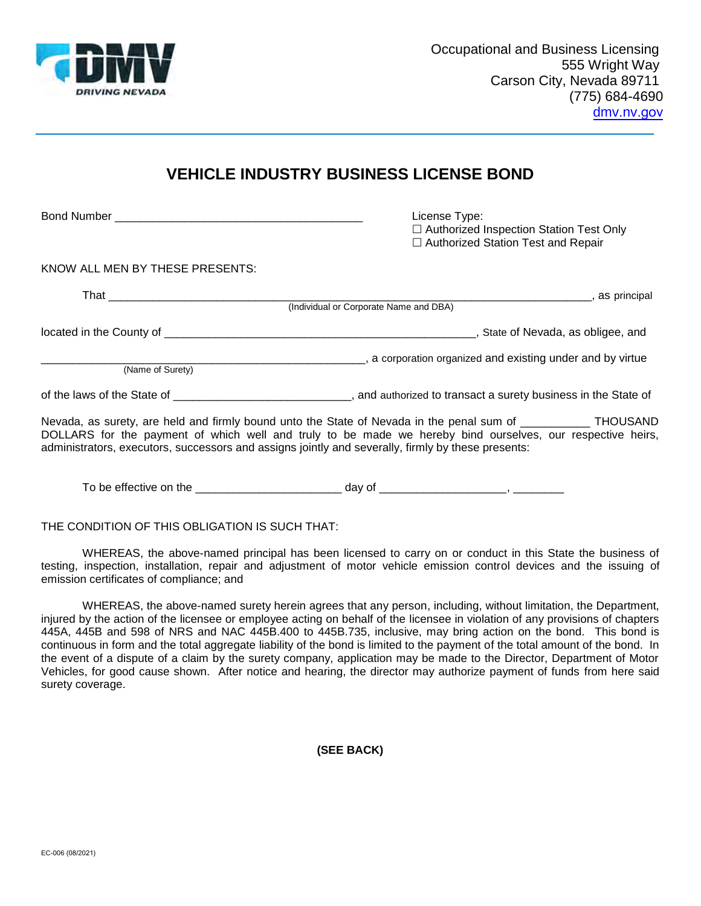

## **VEHICLE INDUSTRY BUSINESS LICENSE BOND**

□ Authorized Station Test and Repair (Individual or Corporate Name and DBA) \_\_\_\_\_\_\_\_\_\_\_\_\_\_\_\_\_\_\_\_\_\_\_\_\_\_\_\_\_\_\_\_\_\_\_\_\_\_\_\_\_\_\_\_\_\_\_\_\_\_\_, a corporation organized and existing under and by virtue of the laws of the State of \_\_\_\_\_\_\_\_\_\_\_\_\_\_\_\_\_\_\_\_\_\_\_\_\_\_\_\_, and authorized to transact a surety business in the State of Bond Number \_\_\_\_\_\_\_\_\_\_\_\_\_\_\_\_\_\_\_\_\_\_\_\_\_\_\_\_\_\_\_\_\_\_\_\_\_\_\_ License Type: □ Authorized Inspection Station Test Only KNOW ALL MEN BY THESE PRESENTS: That \_\_\_\_\_\_\_\_\_\_\_\_\_\_\_\_\_\_\_\_\_\_\_\_\_\_\_\_\_\_\_\_\_\_\_\_\_\_\_\_\_\_\_\_\_\_\_\_\_\_\_\_\_\_\_\_\_\_\_\_\_\_\_\_\_\_\_\_\_\_\_\_\_\_\_\_, as principal located in the County of \_\_\_\_\_\_\_\_\_\_\_\_\_\_\_\_\_\_\_\_\_\_\_\_\_\_\_\_\_\_\_\_\_\_\_\_\_\_\_\_\_\_\_\_\_\_\_\_\_, State of Nevada, as obligee, and (Name of Surety)

 Nevada, as surety, are held and firmly bound unto the State of Nevada in the penal sum of \_\_\_\_\_\_\_\_\_\_\_ THOUSAND DOLLARS for the payment of which well and truly to be made we hereby bind ourselves, our respective heirs, administrators, executors, successors and assigns jointly and severally, firmly by these presents:

To be effective on the \_\_\_\_\_\_\_\_\_\_\_\_\_\_\_\_\_\_\_\_\_\_\_ day of \_\_\_\_\_\_\_\_\_\_\_\_\_\_\_\_\_\_\_\_, \_\_\_\_\_\_\_\_

THE CONDITION OF THIS OBLIGATION IS SUCH THAT:

 WHEREAS, the above-named principal has been licensed to carry on or conduct in this State the business of testing, inspection, installation, repair and adjustment of motor vehicle emission control devices and the issuing of emission certificates of compliance; and

 WHEREAS, the above-named surety herein agrees that any person, including, without limitation, the Department, injured by the action of the licensee or employee acting on behalf of the licensee in violation of any provisions of chapters 445A, 445B and 598 of NRS and NAC 445B.400 to 445B.735, inclusive, may bring action on the bond. This bond is continuous in form and the total aggregate liability of the bond is limited to the payment of the total amount of the bond. In the event of a dispute of a claim by the surety company, application may be made to the Director, Department of Motor Vehicles, for good cause shown. After notice and hearing, the director may authorize payment of funds from here said surety coverage.

**(SEE BACK)**